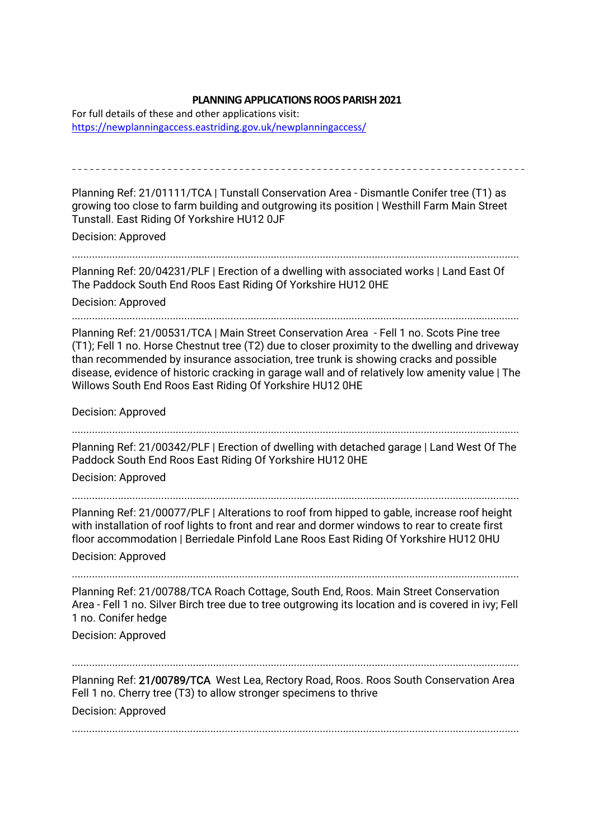## **PLANNING APPLICATIONS ROOS PARISH 2021**

For full details of these and other applications visit: https://newplanningaccess.eastriding.gov.uk/newplanningaccess/

Planning Ref: 21/01111/TCA | Tunstall Conservation Area - Dismantle Conifer tree (T1) as growing too close to farm building and outgrowing its position | Westhill Farm Main Street Tunstall. East Riding Of Yorkshire HU12 0JF Decision: Approved ........................................................................................................................................................... Planning Ref: 20/04231/PLF | Erection of a dwelling with associated works | Land East Of The Paddock South End Roos East Riding Of Yorkshire HU12 0HE Decision: Approved ........................................................................................................................................................... Planning Ref: 21/00531/TCA | Main Street Conservation Area - Fell 1 no. Scots Pine tree (T1); Fell 1 no. Horse Chestnut tree (T2) due to closer proximity to the dwelling and driveway than recommended by insurance association, tree trunk is showing cracks and possible disease, evidence of historic cracking in garage wall and of relatively low amenity value | The Willows South End Roos East Riding Of Yorkshire HU12 0HE Decision: Approved ........................................................................................................................................................... Planning Ref: 21/00342/PLF | Erection of dwelling with detached garage | Land West Of The Paddock South End Roos East Riding Of Yorkshire HU12 0HE Decision: Approved ........................................................................................................................................................... Planning Ref: 21/00077/PLF | Alterations to roof from hipped to gable, increase roof height with installation of roof lights to front and rear and dormer windows to rear to create first floor accommodation | Berriedale Pinfold Lane Roos East Riding Of Yorkshire HU12 0HU Decision: Approved ........................................................................................................................................................... Planning Ref: 21/00788/TCA Roach Cottage, South End, Roos. Main Street Conservation Area - Fell 1 no. Silver Birch tree due to tree outgrowing its location and is covered in ivy; Fell 1 no. Conifer hedge Decision: Approved ........................................................................................................................................................... Planning Ref: 21/00789/TCA West Lea, Rectory Road, Roos. Roos South Conservation Area Fell 1 no. Cherry tree (T3) to allow stronger specimens to thrive Decision: Approved ...........................................................................................................................................................